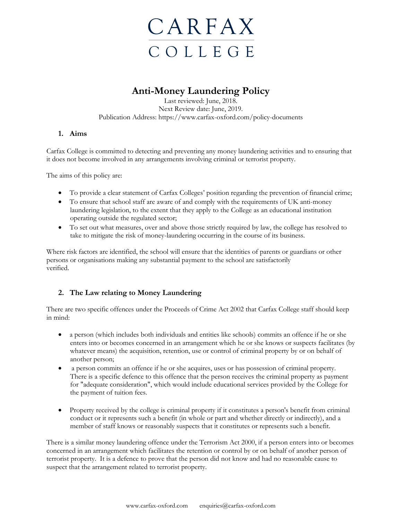

# **Anti-Money Laundering Policy**

Last reviewed: June, 2018. Next Review date: June, 2019. Publication Address: https://www.carfax-oxford.com/policy-documents

# **1. Aims**

Carfax College is committed to detecting and preventing any money laundering activities and to ensuring that it does not become involved in any arrangements involving criminal or terrorist property.

The aims of this policy are:

- To provide a clear statement of Carfax Colleges' position regarding the prevention of financial crime;
- To ensure that school staff are aware of and comply with the requirements of UK anti-money laundering legislation, to the extent that they apply to the College as an educational institution operating outside the regulated sector;
- To set out what measures, over and above those strictly required by law, the college has resolved to take to mitigate the risk of money-laundering occurring in the course of its business.

Where risk factors are identified, the school will ensure that the identities of parents or guardians or other persons or organisations making any substantial payment to the school are satisfactorily verified.

# **2. The Law relating to Money Laundering**

There are two specific offences under the Proceeds of Crime Act 2002 that Carfax College staff should keep in mind:

- a person (which includes both individuals and entities like schools) commits an offence if he or she enters into or becomes concerned in an arrangement which he or she knows or suspects facilitates (by whatever means) the acquisition, retention, use or control of criminal property by or on behalf of another person;
- a person commits an offence if he or she acquires, uses or has possession of criminal property. There is a specific defence to this offence that the person receives the criminal property as payment for "adequate consideration", which would include educational services provided by the College for the payment of tuition fees.
- Property received by the college is criminal property if it constitutes a person's benefit from criminal conduct or it represents such a benefit (in whole or part and whether directly or indirectly), and a member of staff knows or reasonably suspects that it constitutes or represents such a benefit.

There is a similar money laundering offence under the Terrorism Act 2000, if a person enters into or becomes concerned in an arrangement which facilitates the retention or control by or on behalf of another person of terrorist property. It is a defence to prove that the person did not know and had no reasonable cause to suspect that the arrangement related to terrorist property.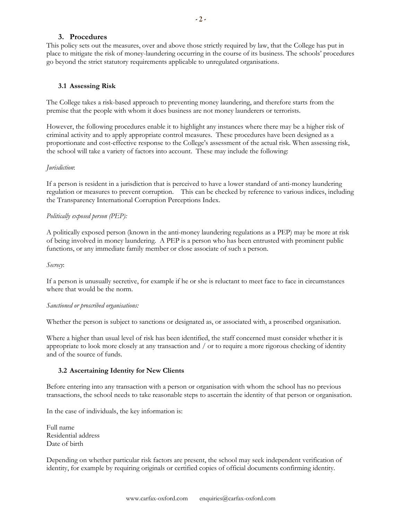## **3. Procedures**

This policy sets out the measures, over and above those strictly required by law, that the College has put in place to mitigate the risk of money-laundering occurring in the course of its business. The schools' procedures go beyond the strict statutory requirements applicable to unregulated organisations.

## **3.1 Assessing Risk**

The College takes a risk-based approach to preventing money laundering, and therefore starts from the premise that the people with whom it does business are not money launderers or terrorists.

However, the following procedures enable it to highlight any instances where there may be a higher risk of criminal activity and to apply appropriate control measures. These procedures have been designed as a proportionate and cost-effective response to the College's assessment of the actual risk. When assessing risk, the school will take a variety of factors into account. These may include the following:

#### *Jurisdiction*:

If a person is resident in a jurisdiction that is perceived to have a lower standard of anti-money laundering regulation or measures to prevent corruption. This can be checked by reference to various indices, including the Transparency International Corruption Perceptions Index.

#### *Politically exposed person (PEP):*

A politically exposed person (known in the anti-money laundering regulations as a PEP) may be more at risk of being involved in money laundering. A PEP is a person who has been entrusted with prominent public functions, or any immediate family member or close associate of such a person.

*Secrecy*:

If a person is unusually secretive, for example if he or she is reluctant to meet face to face in circumstances where that would be the norm.

#### *Sanctioned or proscribed organisations:*

Whether the person is subject to sanctions or designated as, or associated with, a proscribed organisation.

Where a higher than usual level of risk has been identified, the staff concerned must consider whether it is appropriate to look more closely at any transaction and / or to require a more rigorous checking of identity and of the source of funds.

#### **3.2 Ascertaining Identity for New Clients**

Before entering into any transaction with a person or organisation with whom the school has no previous transactions, the school needs to take reasonable steps to ascertain the identity of that person or organisation.

In the case of individuals, the key information is:

Full name Residential address Date of birth

Depending on whether particular risk factors are present, the school may seek independent verification of identity, for example by requiring originals or certified copies of official documents confirming identity.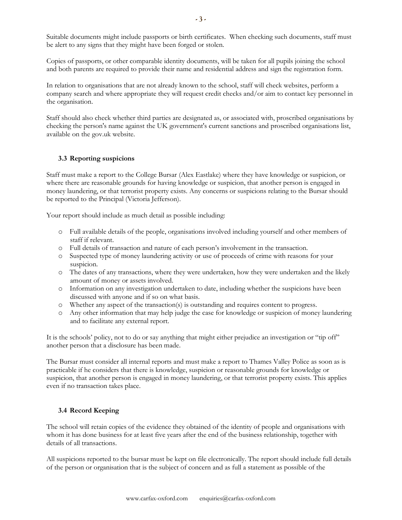Suitable documents might include passports or birth certificates. When checking such documents, staff must be alert to any signs that they might have been forged or stolen.

Copies of passports, or other comparable identity documents, will be taken for all pupils joining the school and both parents are required to provide their name and residential address and sign the registration form.

In relation to organisations that are not already known to the school, staff will check websites, perform a company search and where appropriate they will request credit checks and/or aim to contact key personnel in the organisation.

Staff should also check whether third parties are designated as, or associated with, proscribed organisations by checking the person's name against the UK government's current sanctions and proscribed organisations list, available on the gov.uk website.

## **3.3 Reporting suspicions**

Staff must make a report to the College Bursar (Alex Eastlake) where they have knowledge or suspicion, or where there are reasonable grounds for having knowledge or suspicion, that another person is engaged in money laundering, or that terrorist property exists. Any concerns or suspicions relating to the Bursar should be reported to the Principal (Victoria Jefferson).

Your report should include as much detail as possible including:

- o Full available details of the people, organisations involved including yourself and other members of staff if relevant.
- o Full details of transaction and nature of each person's involvement in the transaction.
- o Suspected type of money laundering activity or use of proceeds of crime with reasons for your suspicion.
- o The dates of any transactions, where they were undertaken, how they were undertaken and the likely amount of money or assets involved.
- o Information on any investigation undertaken to date, including whether the suspicions have been discussed with anyone and if so on what basis.
- o Whether any aspect of the transaction(s) is outstanding and requires content to progress.
- o Any other information that may help judge the case for knowledge or suspicion of money laundering and to facilitate any external report.

It is the schools' policy, not to do or say anything that might either prejudice an investigation or "tip off" another person that a disclosure has been made.

The Bursar must consider all internal reports and must make a report to Thames Valley Police as soon as is practicable if he considers that there is knowledge, suspicion or reasonable grounds for knowledge or suspicion, that another person is engaged in money laundering, or that terrorist property exists. This applies even if no transaction takes place.

# **3.4 Record Keeping**

The school will retain copies of the evidence they obtained of the identity of people and organisations with whom it has done business for at least five years after the end of the business relationship, together with details of all transactions.

All suspicions reported to the bursar must be kept on file electronically. The report should include full details of the person or organisation that is the subject of concern and as full a statement as possible of the